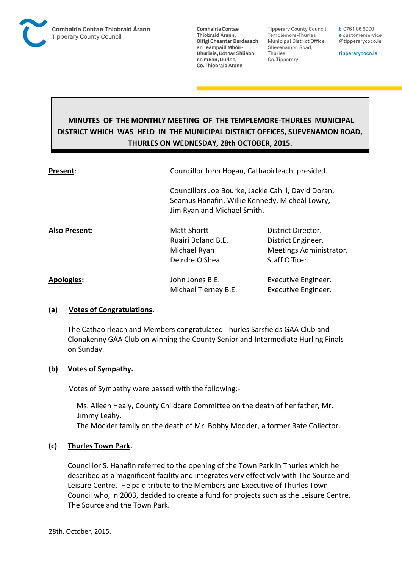

**Tipperary County Council,** Templemore-Thurles Municipal District Office, Slievenamon Road, Thurles, Co. Tipperary

t 0761 06 5000 e customerservice @tipperarycoco.ie

tipperarycoco.ie

# **MINUTES OF THE MONTHLY MEETING OF THE TEMPLEMORE-THURLES MUNICIPAL DISTRICT WHICH WAS HELD IN THE MUNICIPAL DISTRICT OFFICES, SLIEVENAMON ROAD, THURLES ON WEDNESDAY, 28th OCTOBER, 2015.**

| Present:          | Councillor John Hogan, Cathaoirleach, presided.                               |                                                                                       |
|-------------------|-------------------------------------------------------------------------------|---------------------------------------------------------------------------------------|
|                   | Seamus Hanafin, Willie Kennedy, Micheál Lowry,<br>Jim Ryan and Michael Smith. | Councillors Joe Bourke, Jackie Cahill, David Doran,                                   |
| Also Present:     | <b>Matt Shortt</b><br>Ruairi Boland B.E.<br>Michael Ryan<br>Deirdre O'Shea    | District Director.<br>District Engineer.<br>Meetings Administrator.<br>Staff Officer. |
| <b>Apologies:</b> | John Jones B.E.<br>Michael Tierney B.E.                                       | Executive Engineer.<br>Executive Engineer.                                            |

#### **(a) Votes of Congratulations.**

The Cathaoirleach and Members congratulated Thurles Sarsfields GAA Club and Clonakenny GAA Club on winning the County Senior and Intermediate Hurling Finals on Sunday.

#### **(b) Votes of Sympathy.**

Votes of Sympathy were passed with the following:-

- Ms. Aileen Healy, County Childcare Committee on the death of her father, Mr. Jimmy Leahy.
- The Mockler family on the death of Mr. Bobby Mockler, a former Rate Collector.

#### **(c) Thurles Town Park.**

Councillor S. Hanafin referred to the opening of the Town Park in Thurles which he described as a magnificent facility and integrates very effectively with The Source and Leisure Centre. He paid tribute to the Members and Executive of Thurles Town Council who, in 2003, decided to create a fund for projects such as the Leisure Centre, The Source and the Town Park.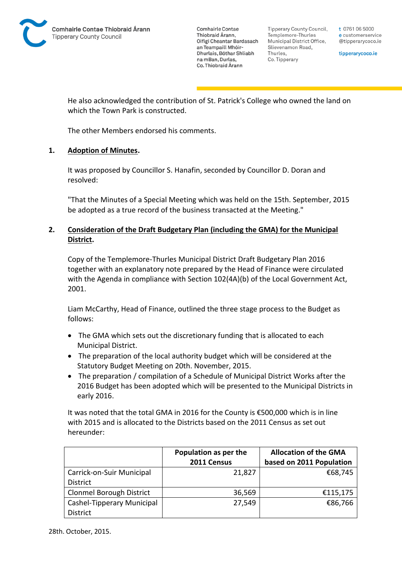**Tipperary County Council,** Templemore-Thurles Municipal District Office, Slievenamon Road, Thurles, Co. Tipperary

t 0761 06 5000 e customerservice @tipperarycoco.ie

tipperarycoco.ie

He also acknowledged the contribution of St. Patrick's College who owned the land on which the Town Park is constructed.

The other Members endorsed his comments.

## **1. Adoption of Minutes.**

It was proposed by Councillor S. Hanafin, seconded by Councillor D. Doran and resolved:

"That the Minutes of a Special Meeting which was held on the 15th. September, 2015 be adopted as a true record of the business transacted at the Meeting."

## **2. Consideration of the Draft Budgetary Plan (including the GMA) for the Municipal District.**

Copy of the Templemore-Thurles Municipal District Draft Budgetary Plan 2016 together with an explanatory note prepared by the Head of Finance were circulated with the Agenda in compliance with Section 102(4A)(b) of the Local Government Act, 2001.

Liam McCarthy, Head of Finance, outlined the three stage process to the Budget as follows:

- The GMA which sets out the discretionary funding that is allocated to each Municipal District.
- The preparation of the local authority budget which will be considered at the Statutory Budget Meeting on 20th. November, 2015.
- The preparation / compilation of a Schedule of Municipal District Works after the 2016 Budget has been adopted which will be presented to the Municipal Districts in early 2016.

It was noted that the total GMA in 2016 for the County is €500,000 which is in line with 2015 and is allocated to the Districts based on the 2011 Census as set out hereunder:

|                                 | Population as per the | <b>Allocation of the GMA</b> |
|---------------------------------|-----------------------|------------------------------|
|                                 | 2011 Census           | based on 2011 Population     |
| Carrick-on-Suir Municipal       | 21,827                | €68,745                      |
| <b>District</b>                 |                       |                              |
| <b>Clonmel Borough District</b> | 36,569                | €115,175                     |
| Cashel-Tipperary Municipal      | 27,549                | €86,766                      |
| <b>District</b>                 |                       |                              |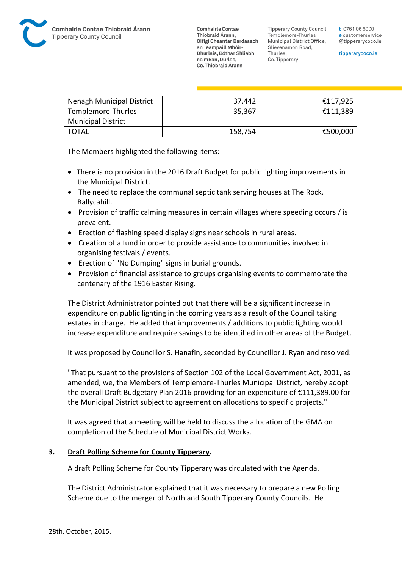

Tipperary County Council. Templemore-Thurles Municipal District Office, Slievenamon Road, Thurles, Co. Tipperary

tipperarycoco.ie

| Nenagh Municipal District | 37,442  | €117,925 |
|---------------------------|---------|----------|
| Templemore-Thurles        | 35,367  | €111,389 |
| <b>Municipal District</b> |         |          |
| TOTAL                     | 158,754 | €500,000 |

The Members highlighted the following items:-

- There is no provision in the 2016 Draft Budget for public lighting improvements in the Municipal District.
- The need to replace the communal septic tank serving houses at The Rock, Ballycahill.
- Provision of traffic calming measures in certain villages where speeding occurs / is prevalent.
- Erection of flashing speed display signs near schools in rural areas.
- Creation of a fund in order to provide assistance to communities involved in organising festivals / events.
- Erection of "No Dumping" signs in burial grounds.
- Provision of financial assistance to groups organising events to commemorate the centenary of the 1916 Easter Rising.

The District Administrator pointed out that there will be a significant increase in expenditure on public lighting in the coming years as a result of the Council taking estates in charge. He added that improvements / additions to public lighting would increase expenditure and require savings to be identified in other areas of the Budget.

It was proposed by Councillor S. Hanafin, seconded by Councillor J. Ryan and resolved:

"That pursuant to the provisions of Section 102 of the Local Government Act, 2001, as amended, we, the Members of Templemore-Thurles Municipal District, hereby adopt the overall Draft Budgetary Plan 2016 providing for an expenditure of €111,389.00 for the Municipal District subject to agreement on allocations to specific projects."

It was agreed that a meeting will be held to discuss the allocation of the GMA on completion of the Schedule of Municipal District Works.

#### **3. Draft Polling Scheme for County Tipperary.**

A draft Polling Scheme for County Tipperary was circulated with the Agenda.

The District Administrator explained that it was necessary to prepare a new Polling Scheme due to the merger of North and South Tipperary County Councils. He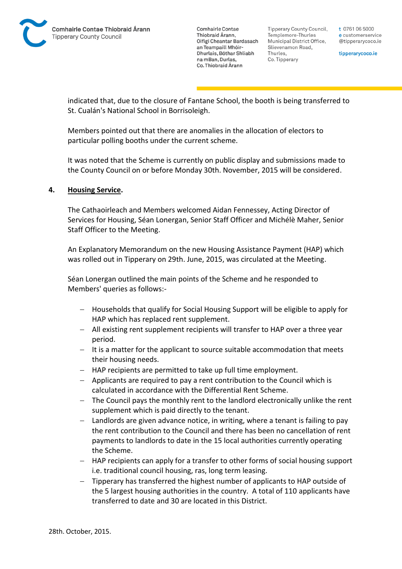Tipperary County Council. Templemore-Thurles Municipal District Office, Slievenamon Road, Thurles, Co. Tipperary

t 0761 06 5000 e customerservice @tipperarycoco.ie

tipperarycoco.ie

indicated that, due to the closure of Fantane School, the booth is being transferred to St. Cualán's National School in Borrisoleigh.

Members pointed out that there are anomalies in the allocation of electors to particular polling booths under the current scheme.

It was noted that the Scheme is currently on public display and submissions made to the County Council on or before Monday 30th. November, 2015 will be considered.

#### **4. Housing Service.**

The Cathaoirleach and Members welcomed Aidan Fennessey, Acting Director of Services for Housing, Séan Lonergan, Senior Staff Officer and Michélè Maher, Senior Staff Officer to the Meeting.

An Explanatory Memorandum on the new Housing Assistance Payment (HAP) which was rolled out in Tipperary on 29th. June, 2015, was circulated at the Meeting.

Séan Lonergan outlined the main points of the Scheme and he responded to Members' queries as follows:-

- Households that qualify for Social Housing Support will be eligible to apply for HAP which has replaced rent supplement.
- All existing rent supplement recipients will transfer to HAP over a three year period.
- $-I$  It is a matter for the applicant to source suitable accommodation that meets their housing needs.
- HAP recipients are permitted to take up full time employment.
- Applicants are required to pay a rent contribution to the Council which is calculated in accordance with the Differential Rent Scheme.
- The Council pays the monthly rent to the landlord electronically unlike the rent supplement which is paid directly to the tenant.
- Landlords are given advance notice, in writing, where a tenant is failing to pay the rent contribution to the Council and there has been no cancellation of rent payments to landlords to date in the 15 local authorities currently operating the Scheme.
- HAP recipients can apply for a transfer to other forms of social housing support i.e. traditional council housing, ras, long term leasing.
- Tipperary has transferred the highest number of applicants to HAP outside of the 5 largest housing authorities in the country. A total of 110 applicants have transferred to date and 30 are located in this District.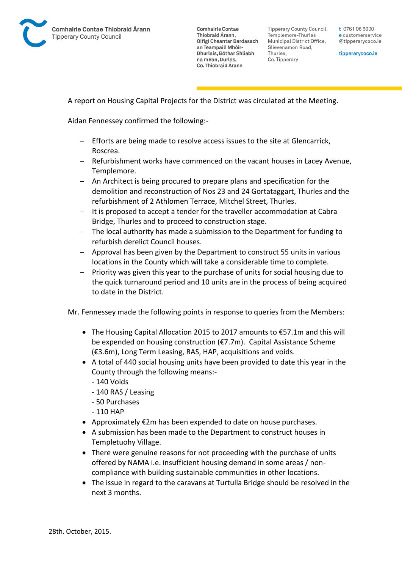

Tipperary County Council. Templemore-Thurles Municipal District Office, Slievenamon Road, Thurles, Co. Tipperary

t 0761 06 5000 e customerservice @tipperarycoco.ie

tipperarycoco.ie

A report on Housing Capital Projects for the District was circulated at the Meeting.

Aidan Fennessey confirmed the following:-

- Efforts are being made to resolve access issues to the site at Glencarrick, Roscrea.
- Refurbishment works have commenced on the vacant houses in Lacey Avenue, Templemore.
- An Architect is being procured to prepare plans and specification for the demolition and reconstruction of Nos 23 and 24 Gortataggart, Thurles and the refurbishment of 2 Athlomen Terrace, Mitchel Street, Thurles.
- It is proposed to accept a tender for the traveller accommodation at Cabra Bridge, Thurles and to proceed to construction stage.
- The local authority has made a submission to the Department for funding to refurbish derelict Council houses.
- Approval has been given by the Department to construct 55 units in various locations in the County which will take a considerable time to complete.
- $-$  Priority was given this year to the purchase of units for social housing due to the quick turnaround period and 10 units are in the process of being acquired to date in the District.

Mr. Fennessey made the following points in response to queries from the Members:

- The Housing Capital Allocation 2015 to 2017 amounts to €57.1m and this will be expended on housing construction (€7.7m). Capital Assistance Scheme (€3.6m), Long Term Leasing, RAS, HAP, acquisitions and voids.
- A total of 440 social housing units have been provided to date this year in the County through the following means:-
	- 140 Voids
	- 140 RAS / Leasing
	- 50 Purchases
	- 110 HAP
- Approximately €2m has been expended to date on house purchases.
- A submission has been made to the Department to construct houses in Templetuohy Village.
- There were genuine reasons for not proceeding with the purchase of units offered by NAMA i.e. insufficient housing demand in some areas / noncompliance with building sustainable communities in other locations.
- The issue in regard to the caravans at Turtulla Bridge should be resolved in the next 3 months.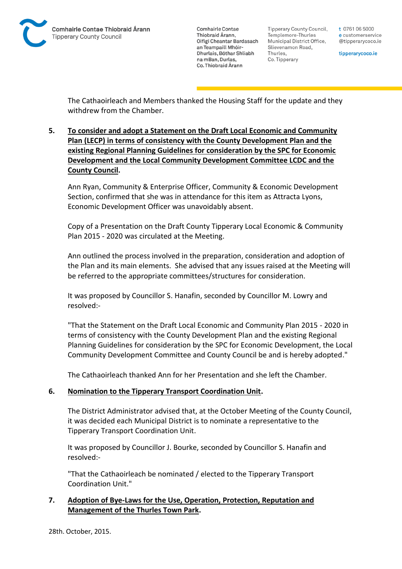

**Tipperary County Council,** Templemore-Thurles Municipal District Office, Slievenamon Road, Thurles, Co. Tipperary

t 0761 06 5000 e customerservice @tipperarycoco.ie

tipperarycoco.ie

The Cathaoirleach and Members thanked the Housing Staff for the update and they withdrew from the Chamber.

**5. To consider and adopt a Statement on the Draft Local Economic and Community Plan (LECP) in terms of consistency with the County Development Plan and the existing Regional Planning Guidelines for consideration by the SPC for Economic Development and the Local Community Development Committee LCDC and the County Council.**

Ann Ryan, Community & Enterprise Officer, Community & Economic Development Section, confirmed that she was in attendance for this item as Attracta Lyons, Economic Development Officer was unavoidably absent.

Copy of a Presentation on the Draft County Tipperary Local Economic & Community Plan 2015 - 2020 was circulated at the Meeting.

Ann outlined the process involved in the preparation, consideration and adoption of the Plan and its main elements. She advised that any issues raised at the Meeting will be referred to the appropriate committees/structures for consideration.

It was proposed by Councillor S. Hanafin, seconded by Councillor M. Lowry and resolved:-

"That the Statement on the Draft Local Economic and Community Plan 2015 - 2020 in terms of consistency with the County Development Plan and the existing Regional Planning Guidelines for consideration by the SPC for Economic Development, the Local Community Development Committee and County Council be and is hereby adopted."

The Cathaoirleach thanked Ann for her Presentation and she left the Chamber.

#### **6. Nomination to the Tipperary Transport Coordination Unit.**

The District Administrator advised that, at the October Meeting of the County Council, it was decided each Municipal District is to nominate a representative to the Tipperary Transport Coordination Unit.

It was proposed by Councillor J. Bourke, seconded by Councillor S. Hanafin and resolved:-

"That the Cathaoirleach be nominated / elected to the Tipperary Transport Coordination Unit."

## **7. Adoption of Bye-Laws for the Use, Operation, Protection, Reputation and Management of the Thurles Town Park.**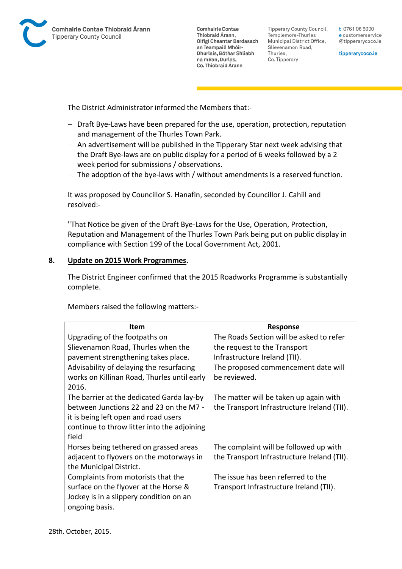

**Tipperary County Council,** Templemore-Thurles Municipal District Office, Slievenamon Road, Thurles, Co. Tipperary

t 0761 06 5000 e customerservice @tipperarycoco.ie

tipperarycoco.ie

The District Administrator informed the Members that:-

- Draft Bye-Laws have been prepared for the use, operation, protection, reputation and management of the Thurles Town Park.
- An advertisement will be published in the Tipperary Star next week advising that the Draft Bye-laws are on public display for a period of 6 weeks followed by a 2 week period for submissions / observations.
- The adoption of the bye-laws with / without amendments is a reserved function.

It was proposed by Councillor S. Hanafin, seconded by Councillor J. Cahill and resolved:-

"That Notice be given of the Draft Bye-Laws for the Use, Operation, Protection, Reputation and Management of the Thurles Town Park being put on public display in compliance with Section 199 of the Local Government Act, 2001.

#### **8. Update on 2015 Work Programmes.**

The District Engineer confirmed that the 2015 Roadworks Programme is substantially complete.

Members raised the following matters:-

| ltem                                        | <b>Response</b>                             |
|---------------------------------------------|---------------------------------------------|
| Upgrading of the footpaths on               | The Roads Section will be asked to refer    |
| Slievenamon Road, Thurles when the          | the request to the Transport                |
| pavement strengthening takes place.         | Infrastructure Ireland (TII).               |
| Advisability of delaying the resurfacing    | The proposed commencement date will         |
| works on Killinan Road, Thurles until early | be reviewed.                                |
| 2016.                                       |                                             |
| The barrier at the dedicated Garda lay-by   | The matter will be taken up again with      |
| between Junctions 22 and 23 on the M7 -     | the Transport Infrastructure Ireland (TII). |
| it is being left open and road users        |                                             |
| continue to throw litter into the adjoining |                                             |
| field                                       |                                             |
| Horses being tethered on grassed areas      | The complaint will be followed up with      |
| adjacent to flyovers on the motorways in    | the Transport Infrastructure Ireland (TII). |
| the Municipal District.                     |                                             |
| Complaints from motorists that the          | The issue has been referred to the          |
| surface on the flyover at the Horse &       | Transport Infrastructure Ireland (TII).     |
| Jockey is in a slippery condition on an     |                                             |
| ongoing basis.                              |                                             |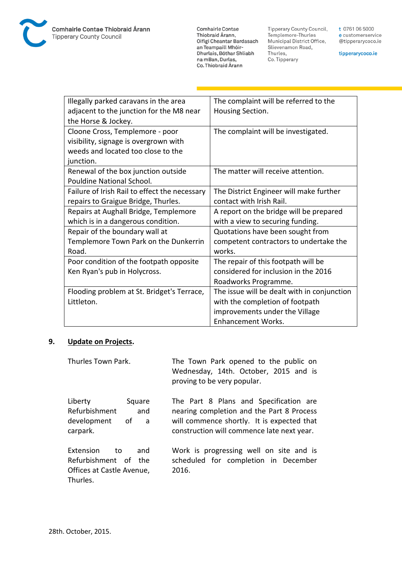**Comhairle Contae** Commante Contae<br>Thiobraid Árann,<br>Oifigí Cheantar Bardasach an Teampaill Mhóir-Dhurlais, Bóthar Shliabh na mBan, Durlas,<br>Co. Thiobraid Árann

Tipperary County Council,<br>Templemore-Thurles<br>Municipal District Office, Slievenamon Road, Thurles, Co. Tipperary

t 0761 06 5000 e customerservice @tipperarycoco.ie

tipperarycoco.ie

| Illegally parked caravans in the area<br>adjacent to the junction for the M8 near | The complaint will be referred to the<br>Housing Section. |
|-----------------------------------------------------------------------------------|-----------------------------------------------------------|
| the Horse & Jockey.                                                               |                                                           |
| Cloone Cross, Templemore - poor                                                   | The complaint will be investigated.                       |
| visibility, signage is overgrown with                                             |                                                           |
| weeds and located too close to the                                                |                                                           |
| junction.                                                                         |                                                           |
| Renewal of the box junction outside                                               | The matter will receive attention.                        |
| Pouldine National School.                                                         |                                                           |
| Failure of Irish Rail to effect the necessary                                     | The District Engineer will make further                   |
| repairs to Graigue Bridge, Thurles.                                               | contact with Irish Rail.                                  |
| Repairs at Aughall Bridge, Templemore                                             | A report on the bridge will be prepared                   |
| which is in a dangerous condition.                                                | with a view to securing funding.                          |
| Repair of the boundary wall at                                                    | Quotations have been sought from                          |
| Templemore Town Park on the Dunkerrin                                             | competent contractors to undertake the                    |
| Road.                                                                             | works.                                                    |
| Poor condition of the footpath opposite                                           | The repair of this footpath will be                       |
| Ken Ryan's pub in Holycross.                                                      | considered for inclusion in the 2016                      |
|                                                                                   | Roadworks Programme.                                      |
| Flooding problem at St. Bridget's Terrace,                                        | The issue will be dealt with in conjunction               |
| Littleton.                                                                        | with the completion of footpath                           |
|                                                                                   | improvements under the Village                            |
|                                                                                   | <b>Enhancement Works.</b>                                 |

## **9. Update on Projects.**

| Thurles Town Park.                                                                      | The Town Park opened to the public on<br>Wednesday, 14th. October, 2015 and is<br>proving to be very popular.                                                                   |
|-----------------------------------------------------------------------------------------|---------------------------------------------------------------------------------------------------------------------------------------------------------------------------------|
| Liberty<br>Square<br>Refurbishment<br>and<br>development<br>of a<br>carpark.            | The Part 8 Plans and Specification are<br>nearing completion and the Part 8 Process<br>will commence shortly. It is expected that<br>construction will commence late next year. |
| Extension<br>and<br>to<br>Refurbishment of the<br>Offices at Castle Avenue,<br>Thurles. | Work is progressing well on site and is<br>scheduled for completion in December<br>2016.                                                                                        |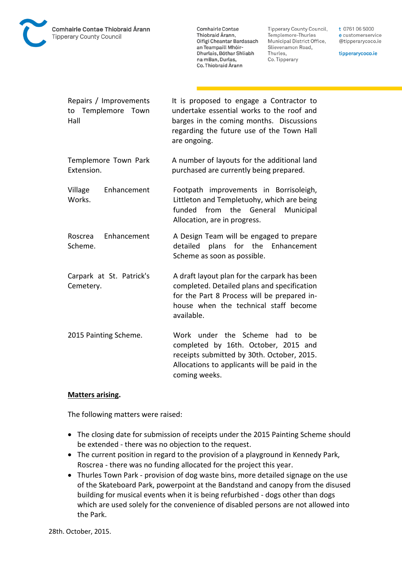

**Tipperary County Council,** Templemore-Thurles Municipal District Office, Slievenamon Road, Thurles, Co. Tipperary

t 0761 06 5000 e customerservice @tipperarycoco.ie

tipperarycoco.ie

| Repairs / Improvements<br>to Templemore Town<br>Hall | It is proposed to engage a Contractor to<br>undertake essential works to the roof and<br>barges in the coming months. Discussions<br>regarding the future use of the Town Hall<br>are ongoing.    |
|------------------------------------------------------|---------------------------------------------------------------------------------------------------------------------------------------------------------------------------------------------------|
| Templemore Town Park<br>Extension.                   | A number of layouts for the additional land<br>purchased are currently being prepared.                                                                                                            |
| Enhancement<br>Village<br>Works.                     | Footpath improvements in Borrisoleigh,<br>Littleton and Templetuohy, which are being<br>funded<br>from the General<br>Municipal<br>Allocation, are in progress.                                   |
| Enhancement<br>Roscrea<br>Scheme.                    | A Design Team will be engaged to prepare<br>plans for the<br>Enhancement<br>detailed<br>Scheme as soon as possible.                                                                               |
| Carpark at St. Patrick's<br>Cemetery.                | A draft layout plan for the carpark has been<br>completed. Detailed plans and specification<br>for the Part 8 Process will be prepared in-<br>house when the technical staff become<br>available. |
| 2015 Painting Scheme.                                | Work under the Scheme<br>had<br>to<br>be<br>completed by 16th. October, 2015 and<br>receipts submitted by 30th. October, 2015.<br>Allocations to applicants will be paid in the<br>coming weeks.  |

#### **Matters arising.**

The following matters were raised:

- The closing date for submission of receipts under the 2015 Painting Scheme should be extended - there was no objection to the request.
- The current position in regard to the provision of a playground in Kennedy Park, Roscrea - there was no funding allocated for the project this year.
- Thurles Town Park provision of dog waste bins, more detailed signage on the use of the Skateboard Park, powerpoint at the Bandstand and canopy from the disused building for musical events when it is being refurbished - dogs other than dogs which are used solely for the convenience of disabled persons are not allowed into the Park.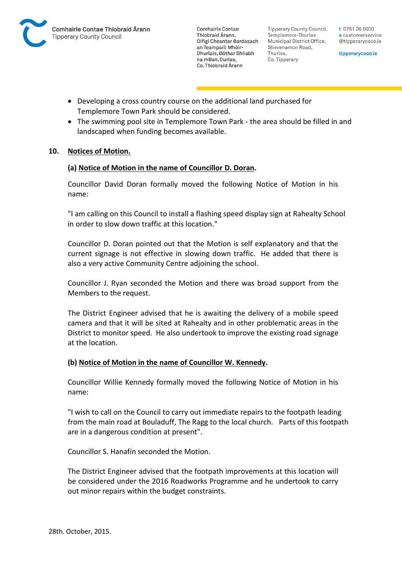

Tipperary County Council. Templemore-Thurles Municipal District Office, Slievenamon Road, Thurles, Co. Tipperary

t 0761 06 5000 e customerservice @tipperarycoco.ie

tipperarycoco.ie

- Developing a cross country course on the additional land purchased for Templemore Town Park should be considered.
- The swimming pool site in Templemore Town Park the area should be filled in and landscaped when funding becomes available.

## **10. Notices of Motion.**

## **(a) Notice of Motion in the name of Councillor D. Doran.**

Councillor David Doran formally moved the following Notice of Motion in his name:

"I am calling on this Council to install a flashing speed display sign at Rahealty School in order to slow down traffic at this location."

Councillor D. Doran pointed out that the Motion is self explanatory and that the current signage is not effective in slowing down traffic. He added that there is also a very active Community Centre adjoining the school.

Councillor J. Ryan seconded the Motion and there was broad support from the Members to the request.

The District Engineer advised that he is awaiting the delivery of a mobile speed camera and that it will be sited at Rahealty and in other problematic areas in the District to monitor speed. He also undertook to improve the existing road signage at the location.

#### **(b) Notice of Motion in the name of Councillor W. Kennedy.**

Councillor Willie Kennedy formally moved the following Notice of Motion in his name:

"I wish to call on the Council to carry out immediate repairs to the footpath leading from the main road at Bouladuff, The Ragg to the local church. Parts of this footpath are in a dangerous condition at present".

Councillor S. Hanafin seconded the Motion.

The District Engineer advised that the footpath improvements at this location will be considered under the 2016 Roadworks Programme and he undertook to carry out minor repairs within the budget constraints.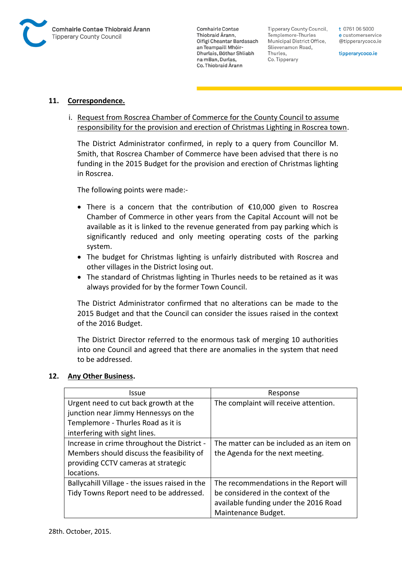

**Tipperary County Council,** Templemore-Thurles Municipal District Office, Slievenamon Road, Thurles, Co. Tipperary

t 0761 06 5000 e customerservice @tipperarycoco.ie

tipperarycoco.ie

#### **11. Correspondence.**

i. Request from Roscrea Chamber of Commerce for the County Council to assume responsibility for the provision and erection of Christmas Lighting in Roscrea town.

The District Administrator confirmed, in reply to a query from Councillor M. Smith, that Roscrea Chamber of Commerce have been advised that there is no funding in the 2015 Budget for the provision and erection of Christmas lighting in Roscrea.

The following points were made:-

- There is a concern that the contribution of €10,000 given to Roscrea Chamber of Commerce in other years from the Capital Account will not be available as it is linked to the revenue generated from pay parking which is significantly reduced and only meeting operating costs of the parking system.
- The budget for Christmas lighting is unfairly distributed with Roscrea and other villages in the District losing out.
- The standard of Christmas lighting in Thurles needs to be retained as it was always provided for by the former Town Council.

The District Administrator confirmed that no alterations can be made to the 2015 Budget and that the Council can consider the issues raised in the context of the 2016 Budget.

The District Director referred to the enormous task of merging 10 authorities into one Council and agreed that there are anomalies in the system that need to be addressed.

#### **12. Any Other Business.**

| <b>Issue</b>                                   | Response                                 |
|------------------------------------------------|------------------------------------------|
| Urgent need to cut back growth at the          | The complaint will receive attention.    |
| junction near Jimmy Hennessys on the           |                                          |
| Templemore - Thurles Road as it is             |                                          |
| interfering with sight lines.                  |                                          |
| Increase in crime throughout the District -    | The matter can be included as an item on |
| Members should discuss the feasibility of      | the Agenda for the next meeting.         |
| providing CCTV cameras at strategic            |                                          |
| locations.                                     |                                          |
| Ballycahill Village - the issues raised in the | The recommendations in the Report will   |
| Tidy Towns Report need to be addressed.        | be considered in the context of the      |
|                                                | available funding under the 2016 Road    |
|                                                | Maintenance Budget.                      |